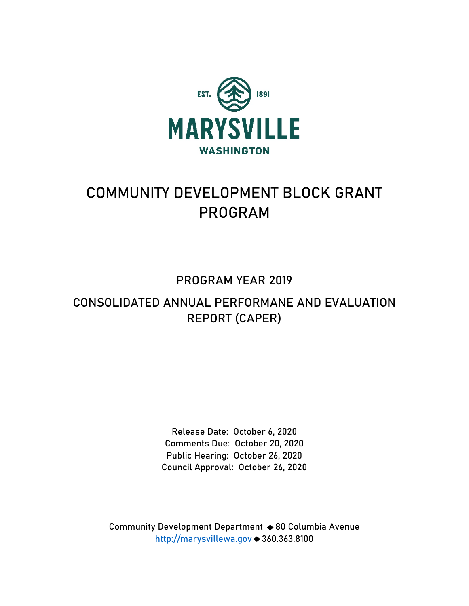

# **COMMUNITY DEVELOPMENT BLOCK GRANT PROGRAM**

## **PROGRAM YEAR 2019**

## **CONSOLIDATED ANNUAL PERFORMANE AND EVALUATION REPORT (CAPER)**

**Release Date: October 6, 2020 Comments Due: October 20, 2020 Public Hearing: October 26, 2020 Council Approval: October 26, 2020** 

**Community Development Department 80 Columbia Avenue http://marysvillewa.gov 360.363.8100**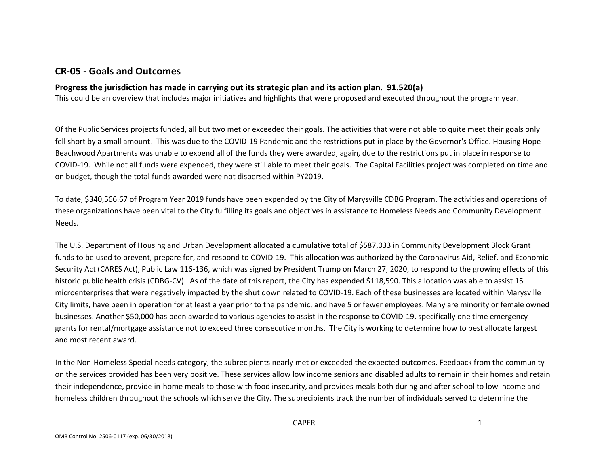## **CR-05 - Goals and Outcomes**

#### **Progress the jurisdiction has made in carrying out its strategic plan and its action plan. 91.520(a)**

This could be an overview that includes major initiatives and highlights that were proposed and executed throughout the program year.

Of the Public Services projects funded, all but two met or exceeded their goals. The activities that were not able to quite meet their goals only fell short by a small amount. This was due to the COVID-19 Pandemic and the restrictions put in place by the Governor's Office. Housing Hope Beachwood Apartments was unable to expend all of the funds they were awarded, again, due to the restrictions put in place in response to COVID-19. While not all funds were expended, they were still able to meet their goals. The Capital Facilities project was completed on time and on budget, though the total funds awarded were not dispersed within PY2019.

To date, \$340,566.67 of Program Year 2019 funds have been expended by the City of Marysville CDBG Program. The activities and operations of these organizations have been vital to the City fulfilling its goals and objectives in assistance to Homeless Needs and Community Development Needs.

The U.S. Department of Housing and Urban Development allocated a cumulative total of \$587,033 in Community Development Block Grant funds to be used to prevent, prepare for, and respond to COVID-19. This allocation was authorized by the Coronavirus Aid, Relief, and Economic Security Act (CARES Act), Public Law 116-136, which was signed by President Trump on March 27, 2020, to respond to the growing effects of this historic public health crisis (CDBG-CV). As of the date of this report, the City has expended \$118,590. This allocation was able to assist 15 microenterprises that were negatively impacted by the shut down related to COVID-19. Each of these businesses are located within Marysville City limits, have been in operation for at least a year prior to the pandemic, and have 5 or fewer employees. Many are minority or female owned businesses. Another \$50,000 has been awarded to various agencies to assist in the response to COVID-19, specifically one time emergency grants for rental/mortgage assistance not to exceed three consecutive months. The City is working to determine how to best allocate largest and most recent award.

In the Non-Homeless Special needs category, the subrecipients nearly met or exceeded the expected outcomes. Feedback from the community on the services provided has been very positive. These services allow low income seniors and disabled adults to remain in their homes and retain their independence, provide in-home meals to those with food insecurity, and provides meals both during and after school to low income and homeless children throughout the schools which serve the City. The subrecipients track the number of individuals served to determine the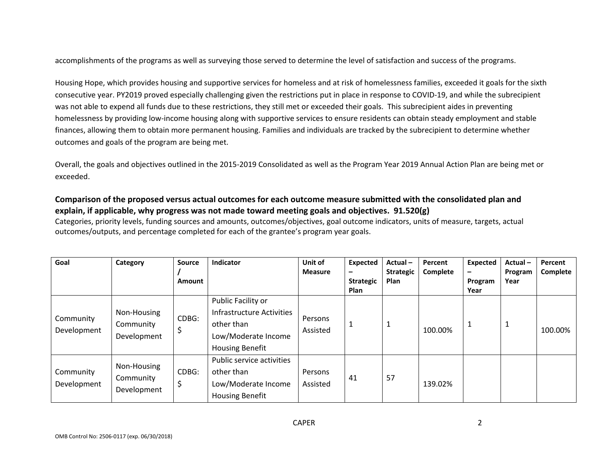accomplishments of the programs as well as surveying those served to determine the level of satisfaction and success of the programs.

Housing Hope, which provides housing and supportive services for homeless and at risk of homelessness families, exceeded it goals for the sixth consecutive year. PY2019 proved especially challenging given the restrictions put in place in response to COVID-19, and while the subrecipient was not able to expend all funds due to these restrictions, they still met or exceeded their goals. This subrecipient aides in preventing homelessness by providing low-income housing along with supportive services to ensure residents can obtain steady employment and stable finances, allowing them to obtain more permanent housing. Families and individuals are tracked by the subrecipient to determine whether outcomes and goals of the program are being met.

Overall, the goals and objectives outlined in the 2015-2019 Consolidated as well as the Program Year 2019 Annual Action Plan are being met or exceeded.

### **Comparison of the proposed versus actual outcomes for each outcome measure submitted with the consolidated plan and explain, if applicable, why progress was not made toward meeting goals and objectives. 91.520(g)**

Categories, priority levels, funding sources and amounts, outcomes/objectives, goal outcome indicators, units of measure, targets, actual outcomes/outputs, and percentage completed for each of the grantee's program year goals.

| Goal                     | Category                                | <b>Source</b><br><b>Amount</b> | Indicator                                                                                                      | Unit of<br><b>Measure</b> | Expected<br>-<br><b>Strategic</b><br><b>Plan</b> | Actual-<br><b>Strategic</b><br>Plan | Percent<br>Complete | <b>Expected</b><br>$\overline{\phantom{m}}$<br>Program<br>Year | Actual-<br>Program<br>Year | Percent<br>Complete |
|--------------------------|-----------------------------------------|--------------------------------|----------------------------------------------------------------------------------------------------------------|---------------------------|--------------------------------------------------|-------------------------------------|---------------------|----------------------------------------------------------------|----------------------------|---------------------|
| Community<br>Development | Non-Housing<br>Community<br>Development | CDBG:<br>\$                    | Public Facility or<br>Infrastructure Activities<br>other than<br>Low/Moderate Income<br><b>Housing Benefit</b> | Persons<br>Assisted       | 1                                                | $\mathbf{1}$                        | 100.00%             | 1                                                              | 1                          | 100.00%             |
| Community<br>Development | Non-Housing<br>Community<br>Development | CDBG:<br>\$                    | Public service activities<br>other than<br>Low/Moderate Income<br><b>Housing Benefit</b>                       | Persons<br>Assisted       | 41                                               | 57                                  | 139.02%             |                                                                |                            |                     |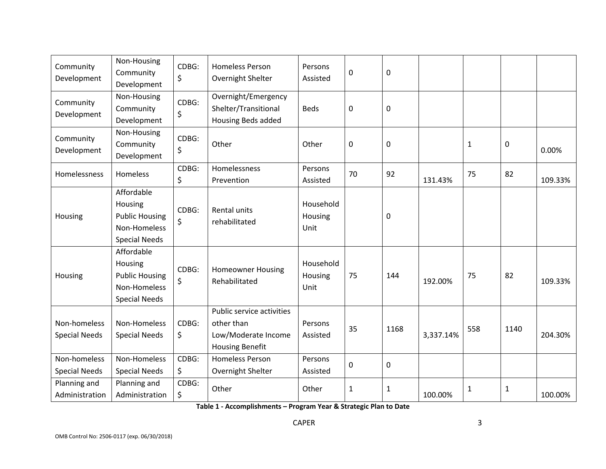| Community<br>Development             | Non-Housing<br>Community<br>Development                                                | CDBG:<br>\$ | <b>Homeless Person</b><br>Overnight Shelter                                              | Persons<br>Assisted          | 0  | $\boldsymbol{0}$ |           |              |              |         |
|--------------------------------------|----------------------------------------------------------------------------------------|-------------|------------------------------------------------------------------------------------------|------------------------------|----|------------------|-----------|--------------|--------------|---------|
| Community<br>Development             | Non-Housing<br>Community<br>Development                                                | CDBG:<br>\$ | Overnight/Emergency<br>Shelter/Transitional<br><b>Housing Beds added</b>                 | <b>Beds</b>                  | 0  | 0                |           |              |              |         |
| Community<br>Development             | Non-Housing<br>Community<br>Development                                                | CDBG:<br>\$ | Other                                                                                    | Other                        | 0  | $\pmb{0}$        |           | $\mathbf{1}$ | $\mathbf 0$  | 0.00%   |
| Homelessness                         | <b>Homeless</b>                                                                        | CDBG:<br>\$ | Homelessness<br>Prevention                                                               | Persons<br>Assisted          | 70 | 92               | 131.43%   | 75           | 82           | 109.33% |
| Housing                              | Affordable<br>Housing<br><b>Public Housing</b><br>Non-Homeless<br><b>Special Needs</b> | CDBG:<br>\$ | Rental units<br>rehabilitated                                                            | Household<br>Housing<br>Unit |    | 0                |           |              |              |         |
| Housing                              | Affordable<br>Housing<br><b>Public Housing</b><br>Non-Homeless<br><b>Special Needs</b> | CDBG:<br>\$ | <b>Homeowner Housing</b><br>Rehabilitated                                                | Household<br>Housing<br>Unit | 75 | 144              | 192.00%   | 75           | 82           | 109.33% |
| Non-homeless<br><b>Special Needs</b> | Non-Homeless<br><b>Special Needs</b>                                                   | CDBG:<br>\$ | Public service activities<br>other than<br>Low/Moderate Income<br><b>Housing Benefit</b> | Persons<br>Assisted          | 35 | 1168             | 3,337.14% | 558          | 1140         | 204.30% |
| Non-homeless<br><b>Special Needs</b> | Non-Homeless<br><b>Special Needs</b>                                                   | CDBG:<br>\$ | <b>Homeless Person</b><br>Overnight Shelter                                              | Persons<br>Assisted          | 0  | 0                |           |              |              |         |
| Planning and<br>Administration       | Planning and<br>Administration                                                         | CDBG:<br>\$ | Other                                                                                    | Other                        | 1  | $\mathbf{1}$     | 100.00%   | $\mathbf{1}$ | $\mathbf{1}$ | 100.00% |

**Table 1 - Accomplishments – Program Year & Strategic Plan to Date**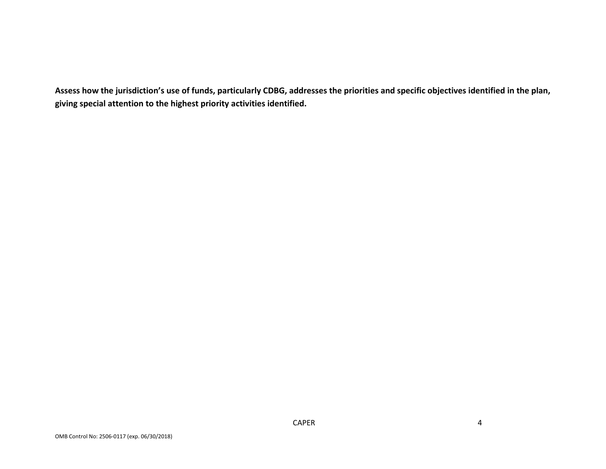**Assess how the jurisdiction's use of funds, particularly CDBG, addresses the priorities and specific objectives identified in the plan, giving special attention to the highest priority activities identified.**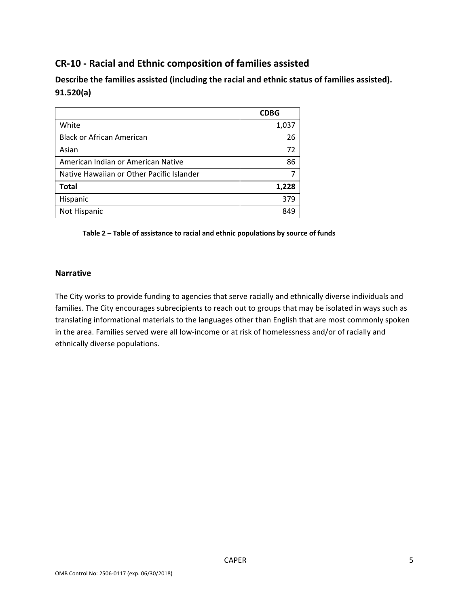## **CR-10 - Racial and Ethnic composition of families assisted**

**Describe the families assisted (including the racial and ethnic status of families assisted). 91.520(a)** 

|                                           | <b>CDBG</b> |
|-------------------------------------------|-------------|
| White                                     | 1,037       |
| <b>Black or African American</b>          | 26          |
| Asian                                     | 72          |
| American Indian or American Native        | 86          |
| Native Hawaiian or Other Pacific Islander |             |
| <b>Total</b>                              | 1,228       |
| Hispanic                                  | 379         |
| Not Hispanic                              | 849         |

#### **Table 2 – Table of assistance to racial and ethnic populations by source of funds**

#### **Narrative**

The City works to provide funding to agencies that serve racially and ethnically diverse individuals and families. The City encourages subrecipients to reach out to groups that may be isolated in ways such as translating informational materials to the languages other than English that are most commonly spoken in the area. Families served were all low-income or at risk of homelessness and/or of racially and ethnically diverse populations.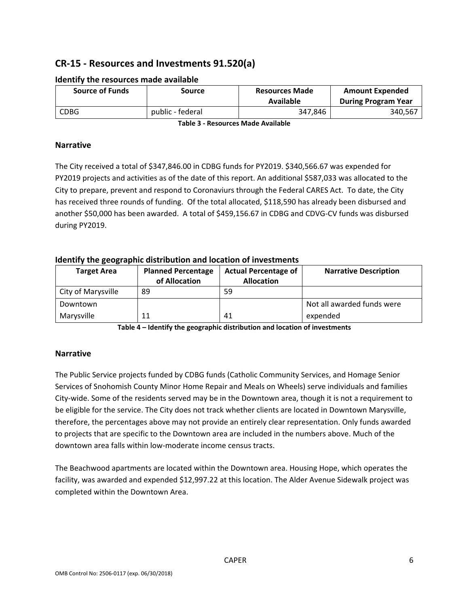## **CR-15 - Resources and Investments 91.520(a)**

| <b>Source of Funds</b> | Source           | <b>Resources Made</b><br>Available | <b>Amount Expended</b><br><b>During Program Year</b> |  |
|------------------------|------------------|------------------------------------|------------------------------------------------------|--|
| <b>CDBG</b>            | public - federal | 347.846                            | 340,567                                              |  |

#### **Identify the resources made available**

**Table 3 - Resources Made Available** 

#### **Narrative**

The City received a total of \$347,846.00 in CDBG funds for PY2019. \$340,566.67 was expended for PY2019 projects and activities as of the date of this report. An additional \$587,033 was allocated to the City to prepare, prevent and respond to Coronaviurs through the Federal CARES Act. To date, the City has received three rounds of funding. Of the total allocated, \$118,590 has already been disbursed and another \$50,000 has been awarded. A total of \$459,156.67 in CDBG and CDVG-CV funds was disbursed during PY2019.

#### **Identify the geographic distribution and location of investments**

| <b>Target Area</b> | <b>Planned Percentage</b><br>of Allocation | <b>Actual Percentage of</b><br><b>Allocation</b> | <b>Narrative Description</b> |
|--------------------|--------------------------------------------|--------------------------------------------------|------------------------------|
|                    |                                            |                                                  |                              |
| City of Marysville | 89                                         | 59                                               |                              |
| Downtown           |                                            |                                                  | Not all awarded funds were   |
| Marysville         | 11                                         | 41                                               | expended                     |

**Table 4 – Identify the geographic distribution and location of investments** 

#### **Narrative**

The Public Service projects funded by CDBG funds (Catholic Community Services, and Homage Senior Services of Snohomish County Minor Home Repair and Meals on Wheels) serve individuals and families City-wide. Some of the residents served may be in the Downtown area, though it is not a requirement to be eligible for the service. The City does not track whether clients are located in Downtown Marysville, therefore, the percentages above may not provide an entirely clear representation. Only funds awarded to projects that are specific to the Downtown area are included in the numbers above. Much of the downtown area falls within low-moderate income census tracts.

The Beachwood apartments are located within the Downtown area. Housing Hope, which operates the facility, was awarded and expended \$12,997.22 at this location. The Alder Avenue Sidewalk project was completed within the Downtown Area.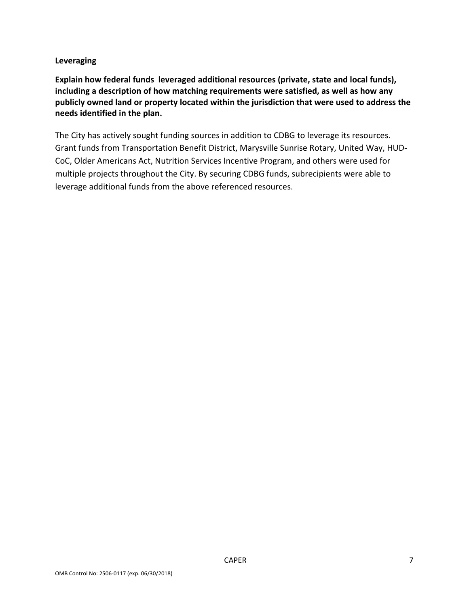#### **Leveraging**

**Explain how federal funds leveraged additional resources (private, state and local funds), including a description of how matching requirements were satisfied, as well as how any publicly owned land or property located within the jurisdiction that were used to address the needs identified in the plan.** 

The City has actively sought funding sources in addition to CDBG to leverage its resources. Grant funds from Transportation Benefit District, Marysville Sunrise Rotary, United Way, HUD-CoC, Older Americans Act, Nutrition Services Incentive Program, and others were used for multiple projects throughout the City. By securing CDBG funds, subrecipients were able to leverage additional funds from the above referenced resources.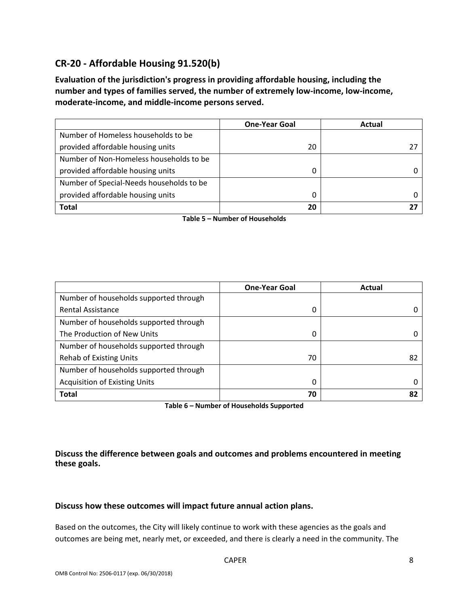## **CR-20 - Affordable Housing 91.520(b)**

**Evaluation of the jurisdiction's progress in providing affordable housing, including the number and types of families served, the number of extremely low-income, low-income, moderate-income, and middle-income persons served.** 

|                                          | <b>One-Year Goal</b> | Actual |
|------------------------------------------|----------------------|--------|
| Number of Homeless households to be      |                      |        |
| provided affordable housing units        | 20                   |        |
| Number of Non-Homeless households to be  |                      |        |
| provided affordable housing units        |                      |        |
| Number of Special-Needs households to be |                      |        |
| provided affordable housing units        | O                    |        |
| <b>Total</b>                             | 20                   |        |

**Table 5 – Number of Households** 

|                                        | <b>One-Year Goal</b> | Actual |
|----------------------------------------|----------------------|--------|
| Number of households supported through |                      |        |
| <b>Rental Assistance</b>               | 0                    | 0      |
| Number of households supported through |                      |        |
| The Production of New Units            | 0                    |        |
| Number of households supported through |                      |        |
| <b>Rehab of Existing Units</b>         | 70                   | 82     |
| Number of households supported through |                      |        |
| <b>Acquisition of Existing Units</b>   | 0                    |        |
| <b>Total</b>                           | 70                   | 82     |

**Table 6 – Number of Households Supported** 

**Discuss the difference between goals and outcomes and problems encountered in meeting these goals.** 

#### **Discuss how these outcomes will impact future annual action plans.**

Based on the outcomes, the City will likely continue to work with these agencies as the goals and outcomes are being met, nearly met, or exceeded, and there is clearly a need in the community. The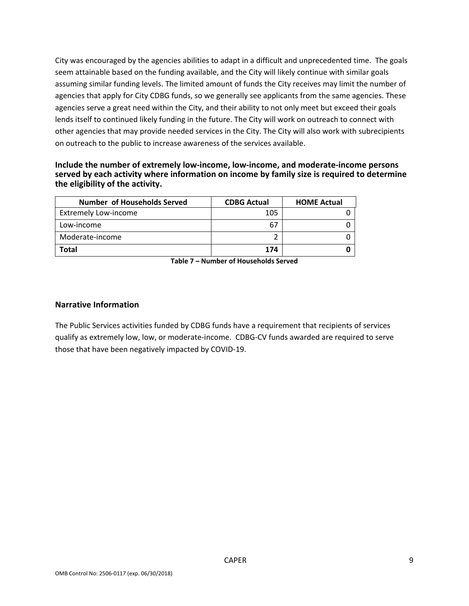City was encouraged by the agencies abilities to adapt in a difficult and unprecedented time. The goals seem attainable based on the funding available, and the City will likely continue with similar goals assuming similar funding levels. The limited amount of funds the City receives may limit the number of agencies that apply for City CDBG funds, so we generally see applicants from the same agencies. These agencies serve a great need within the City, and their ability to not only meet but exceed their goals lends itself to continued likely funding in the future. The City will work on outreach to connect with other agencies that may provide needed services in the City. The City will also work with subrecipients on outreach to the public to increase awareness of the services available.

#### **Include the number of extremely low-income, low-income, and moderate-income persons served by each activity where information on income by family size is required to determine the eligibility of the activity.**

| <b>Number of Households Served</b> | <b>CDBG Actual</b> | <b>HOME Actual</b> |
|------------------------------------|--------------------|--------------------|
| <b>Extremely Low-income</b>        | 105                |                    |
| Low-income                         | 67                 |                    |
| Moderate-income                    |                    |                    |
| Total                              | 174                |                    |

**Table 7 – Number of Households Served** 

#### **Narrative Information**

The Public Services activities funded by CDBG funds have a requirement that recipients of services qualify as extremely low, low, or moderate-income. CDBG-CV funds awarded are required to serve those that have been negatively impacted by COVID-19.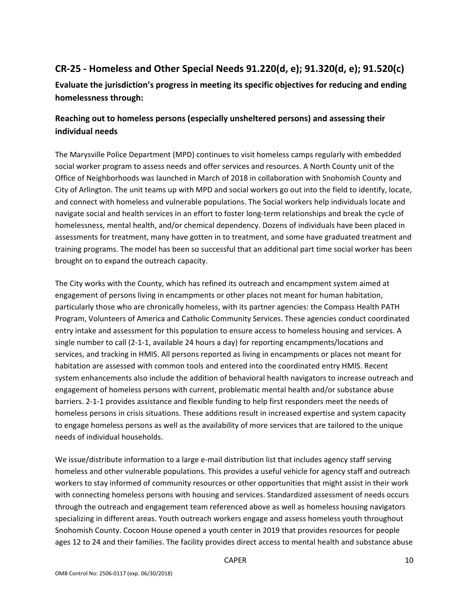## **CR-25 - Homeless and Other Special Needs 91.220(d, e); 91.320(d, e); 91.520(c)**

**Evaluate the jurisdiction's progress in meeting its specific objectives for reducing and ending homelessness through:** 

## **Reaching out to homeless persons (especially unsheltered persons) and assessing their individual needs**

The Marysville Police Department (MPD) continues to visit homeless camps regularly with embedded social worker program to assess needs and offer services and resources. A North County unit of the Office of Neighborhoods was launched in March of 2018 in collaboration with Snohomish County and City of Arlington. The unit teams up with MPD and social workers go out into the field to identify, locate, and connect with homeless and vulnerable populations. The Social workers help individuals locate and navigate social and health services in an effort to foster long-term relationships and break the cycle of homelessness, mental health, and/or chemical dependency. Dozens of individuals have been placed in assessments for treatment, many have gotten in to treatment, and some have graduated treatment and training programs. The model has been so successful that an additional part time social worker has been brought on to expand the outreach capacity.

The City works with the County, which has refined its outreach and encampment system aimed at engagement of persons living in encampments or other places not meant for human habitation, particularly those who are chronically homeless, with its partner agencies: the Compass Health PATH Program, Volunteers of America and Catholic Community Services. These agencies conduct coordinated entry intake and assessment for this population to ensure access to homeless housing and services. A single number to call (2-1-1, available 24 hours a day) for reporting encampments/locations and services, and tracking in HMIS. All persons reported as living in encampments or places not meant for habitation are assessed with common tools and entered into the coordinated entry HMIS. Recent system enhancements also include the addition of behavioral health navigators to increase outreach and engagement of homeless persons with current, problematic mental health and/or substance abuse barriers. 2-1-1 provides assistance and flexible funding to help first responders meet the needs of homeless persons in crisis situations. These additions result in increased expertise and system capacity to engage homeless persons as well as the availability of more services that are tailored to the unique needs of individual households.

We issue/distribute information to a large e-mail distribution list that includes agency staff serving homeless and other vulnerable populations. This provides a useful vehicle for agency staff and outreach workers to stay informed of community resources or other opportunities that might assist in their work with connecting homeless persons with housing and services. Standardized assessment of needs occurs through the outreach and engagement team referenced above as well as homeless housing navigators specializing in different areas. Youth outreach workers engage and assess homeless youth throughout Snohomish County. Cocoon House opened a youth center in 2019 that provides resources for people ages 12 to 24 and their families. The facility provides direct access to mental health and substance abuse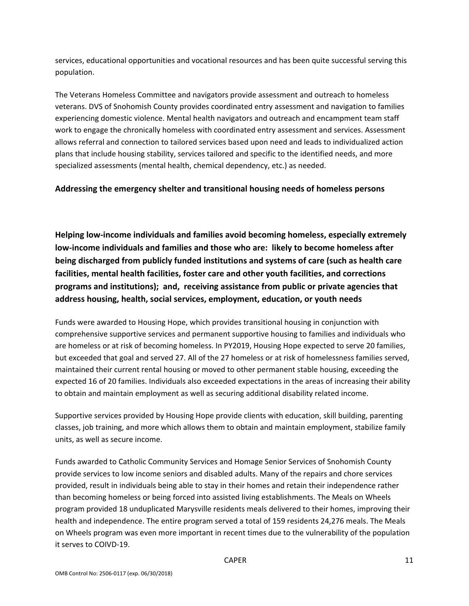services, educational opportunities and vocational resources and has been quite successful serving this population.

The Veterans Homeless Committee and navigators provide assessment and outreach to homeless veterans. DVS of Snohomish County provides coordinated entry assessment and navigation to families experiencing domestic violence. Mental health navigators and outreach and encampment team staff work to engage the chronically homeless with coordinated entry assessment and services. Assessment allows referral and connection to tailored services based upon need and leads to individualized action plans that include housing stability, services tailored and specific to the identified needs, and more specialized assessments (mental health, chemical dependency, etc.) as needed.

#### **Addressing the emergency shelter and transitional housing needs of homeless persons**

**Helping low-income individuals and families avoid becoming homeless, especially extremely low-income individuals and families and those who are: likely to become homeless after being discharged from publicly funded institutions and systems of care (such as health care facilities, mental health facilities, foster care and other youth facilities, and corrections programs and institutions); and, receiving assistance from public or private agencies that address housing, health, social services, employment, education, or youth needs** 

Funds were awarded to Housing Hope, which provides transitional housing in conjunction with comprehensive supportive services and permanent supportive housing to families and individuals who are homeless or at risk of becoming homeless. In PY2019, Housing Hope expected to serve 20 families, but exceeded that goal and served 27. All of the 27 homeless or at risk of homelessness families served, maintained their current rental housing or moved to other permanent stable housing, exceeding the expected 16 of 20 families. Individuals also exceeded expectations in the areas of increasing their ability to obtain and maintain employment as well as securing additional disability related income.

Supportive services provided by Housing Hope provide clients with education, skill building, parenting classes, job training, and more which allows them to obtain and maintain employment, stabilize family units, as well as secure income.

Funds awarded to Catholic Community Services and Homage Senior Services of Snohomish County provide services to low income seniors and disabled adults. Many of the repairs and chore services provided, result in individuals being able to stay in their homes and retain their independence rather than becoming homeless or being forced into assisted living establishments. The Meals on Wheels program provided 18 unduplicated Marysville residents meals delivered to their homes, improving their health and independence. The entire program served a total of 159 residents 24,276 meals. The Meals on Wheels program was even more important in recent times due to the vulnerability of the population it serves to COIVD-19.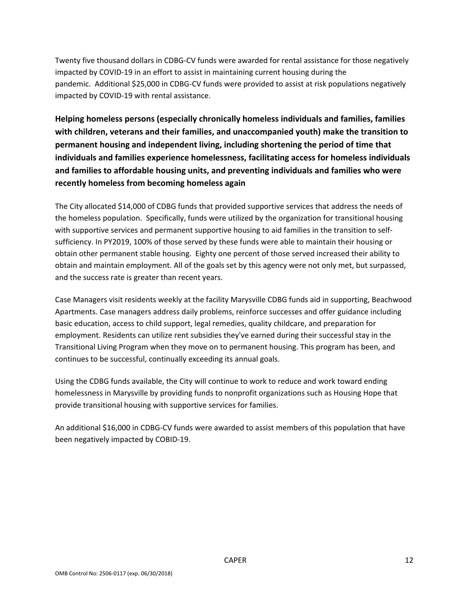Twenty five thousand dollars in CDBG-CV funds were awarded for rental assistance for those negatively impacted by COVID-19 in an effort to assist in maintaining current housing during the pandemic. Additional \$25,000 in CDBG-CV funds were provided to assist at risk populations negatively impacted by COVID-19 with rental assistance.

**Helping homeless persons (especially chronically homeless individuals and families, families with children, veterans and their families, and unaccompanied youth) make the transition to permanent housing and independent living, including shortening the period of time that individuals and families experience homelessness, facilitating access for homeless individuals and families to affordable housing units, and preventing individuals and families who were recently homeless from becoming homeless again** 

The City allocated \$14,000 of CDBG funds that provided supportive services that address the needs of the homeless population. Specifically, funds were utilized by the organization for transitional housing with supportive services and permanent supportive housing to aid families in the transition to selfsufficiency. In PY2019, 100% of those served by these funds were able to maintain their housing or obtain other permanent stable housing. Eighty one percent of those served increased their ability to obtain and maintain employment. All of the goals set by this agency were not only met, but surpassed, and the success rate is greater than recent years.

Case Managers visit residents weekly at the facility Marysville CDBG funds aid in supporting, Beachwood Apartments. Case managers address daily problems, reinforce successes and offer guidance including basic education, access to child support, legal remedies, quality childcare, and preparation for employment. Residents can utilize rent subsidies they've earned during their successful stay in the Transitional Living Program when they move on to permanent housing. This program has been, and continues to be successful, continually exceeding its annual goals.

Using the CDBG funds available, the City will continue to work to reduce and work toward ending homelessness in Marysville by providing funds to nonprofit organizations such as Housing Hope that provide transitional housing with supportive services for families.

An additional \$16,000 in CDBG-CV funds were awarded to assist members of this population that have been negatively impacted by COBID-19.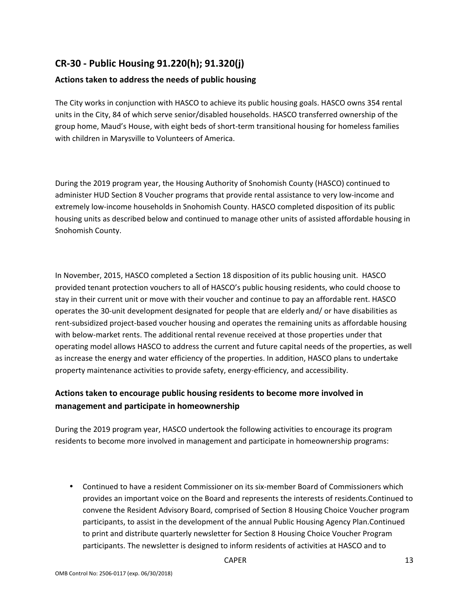## **CR-30 - Public Housing 91.220(h); 91.320(j)**

#### **Actions taken to address the needs of public housing**

The City works in conjunction with HASCO to achieve its public housing goals. HASCO owns 354 rental units in the City, 84 of which serve senior/disabled households. HASCO transferred ownership of the group home, Maud's House, with eight beds of short-term transitional housing for homeless families with children in Marysville to Volunteers of America.

During the 2019 program year, the Housing Authority of Snohomish County (HASCO) continued to administer HUD Section 8 Voucher programs that provide rental assistance to very low-income and extremely low-income households in Snohomish County. HASCO completed disposition of its public housing units as described below and continued to manage other units of assisted affordable housing in Snohomish County.

In November, 2015, HASCO completed a Section 18 disposition of its public housing unit. HASCO provided tenant protection vouchers to all of HASCO's public housing residents, who could choose to stay in their current unit or move with their voucher and continue to pay an affordable rent. HASCO operates the 30-unit development designated for people that are elderly and/ or have disabilities as rent-subsidized project-based voucher housing and operates the remaining units as affordable housing with below-market rents. The additional rental revenue received at those properties under that operating model allows HASCO to address the current and future capital needs of the properties, as well as increase the energy and water efficiency of the properties. In addition, HASCO plans to undertake property maintenance activities to provide safety, energy-efficiency, and accessibility.

## **Actions taken to encourage public housing residents to become more involved in management and participate in homeownership**

During the 2019 program year, HASCO undertook the following activities to encourage its program residents to become more involved in management and participate in homeownership programs:

• Continued to have a resident Commissioner on its six-member Board of Commissioners which provides an important voice on the Board and represents the interests of residents.Continued to convene the Resident Advisory Board, comprised of Section 8 Housing Choice Voucher program participants, to assist in the development of the annual Public Housing Agency Plan.Continued to print and distribute quarterly newsletter for Section 8 Housing Choice Voucher Program participants. The newsletter is designed to inform residents of activities at HASCO and to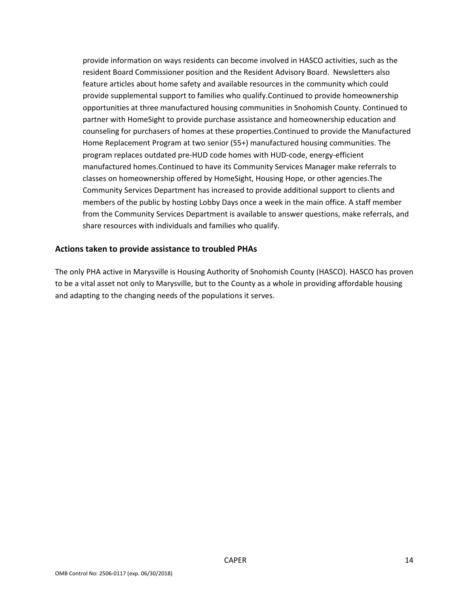provide information on ways residents can become involved in HASCO activities, such as the resident Board Commissioner position and the Resident Advisory Board. Newsletters also feature articles about home safety and available resources in the community which could provide supplemental support to families who qualify.Continued to provide homeownership opportunities at three manufactured housing communities in Snohomish County. Continued to partner with HomeSight to provide purchase assistance and homeownership education and counseling for purchasers of homes at these properties.Continued to provide the Manufactured Home Replacement Program at two senior (55+) manufactured housing communities. The program replaces outdated pre-HUD code homes with HUD-code, energy-efficient manufactured homes.Continued to have its Community Services Manager make referrals to classes on homeownership offered by HomeSight, Housing Hope, or other agencies.The Community Services Department has increased to provide additional support to clients and members of the public by hosting Lobby Days once a week in the main office. A staff member from the Community Services Department is available to answer questions, make referrals, and share resources with individuals and families who qualify.

#### **Actions taken to provide assistance to troubled PHAs**

The only PHA active in Marysville is Housing Authority of Snohomish County (HASCO). HASCO has proven to be a vital asset not only to Marysville, but to the County as a whole in providing affordable housing and adapting to the changing needs of the populations it serves.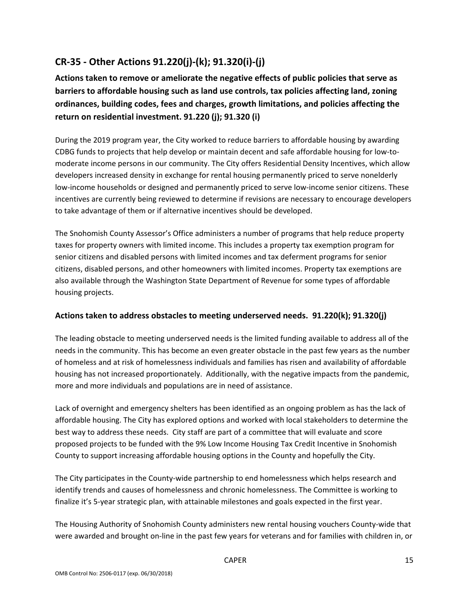## **CR-35 - Other Actions 91.220(j)-(k); 91.320(i)-(j)**

**Actions taken to remove or ameliorate the negative effects of public policies that serve as barriers to affordable housing such as land use controls, tax policies affecting land, zoning ordinances, building codes, fees and charges, growth limitations, and policies affecting the return on residential investment. 91.220 (j); 91.320 (i)** 

During the 2019 program year, the City worked to reduce barriers to affordable housing by awarding CDBG funds to projects that help develop or maintain decent and safe affordable housing for low-tomoderate income persons in our community. The City offers Residential Density Incentives, which allow developers increased density in exchange for rental housing permanently priced to serve nonelderly low-income households or designed and permanently priced to serve low-income senior citizens. These incentives are currently being reviewed to determine if revisions are necessary to encourage developers to take advantage of them or if alternative incentives should be developed.

The Snohomish County Assessor's Office administers a number of programs that help reduce property taxes for property owners with limited income. This includes a property tax exemption program for senior citizens and disabled persons with limited incomes and tax deferment programs for senior citizens, disabled persons, and other homeowners with limited incomes. Property tax exemptions are also available through the Washington State Department of Revenue for some types of affordable housing projects.

#### **Actions taken to address obstacles to meeting underserved needs. 91.220(k); 91.320(j)**

The leading obstacle to meeting underserved needs is the limited funding available to address all of the needs in the community. This has become an even greater obstacle in the past few years as the number of homeless and at risk of homelessness individuals and families has risen and availability of affordable housing has not increased proportionately. Additionally, with the negative impacts from the pandemic, more and more individuals and populations are in need of assistance.

Lack of overnight and emergency shelters has been identified as an ongoing problem as has the lack of affordable housing. The City has explored options and worked with local stakeholders to determine the best way to address these needs. City staff are part of a committee that will evaluate and score proposed projects to be funded with the 9% Low Income Housing Tax Credit Incentive in Snohomish County to support increasing affordable housing options in the County and hopefully the City.

The City participates in the County-wide partnership to end homelessness which helps research and identify trends and causes of homelessness and chronic homelessness. The Committee is working to finalize it's 5-year strategic plan, with attainable milestones and goals expected in the first year.

The Housing Authority of Snohomish County administers new rental housing vouchers County-wide that were awarded and brought on-line in the past few years for veterans and for families with children in, or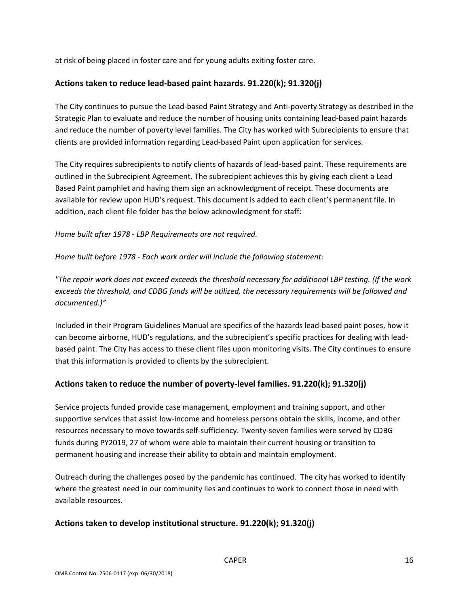at risk of being placed in foster care and for young adults exiting foster care.

#### **Actions taken to reduce lead-based paint hazards. 91.220(k); 91.320(j)**

The City continues to pursue the Lead-based Paint Strategy and Anti-poverty Strategy as described in the Strategic Plan to evaluate and reduce the number of housing units containing lead-based paint hazards and reduce the number of poverty level families. The City has worked with Subrecipients to ensure that clients are provided information regarding Lead-based Paint upon application for services.

The City requires subrecipients to notify clients of hazards of lead-based paint. These requirements are outlined in the Subrecipient Agreement. The subrecipient achieves this by giving each client a Lead Based Paint pamphlet and having them sign an acknowledgment of receipt. These documents are available for review upon HUD's request. This document is added to each client's permanent file. In addition, each client file folder has the below acknowledgment for staff:

*Home built after 1978 - LBP Requirements are not required.*

*Home built before 1978 - Each work order will include the following statement:*

*"The repair work does not exceed exceeds the threshold necessary for additional LBP testing. (If the work exceeds the threshold, and CDBG funds will be utilized, the necessary requirements will be followed and documented.)"*

Included in their Program Guidelines Manual are specifics of the hazards lead-based paint poses, how it can become airborne, HUD's regulations, and the subrecipient's specific practices for dealing with leadbased paint. The City has access to these client files upon monitoring visits. The City continues to ensure that this information is provided to clients by the subrecipient.

#### **Actions taken to reduce the number of poverty-level families. 91.220(k); 91.320(j)**

Service projects funded provide case management, employment and training support, and other supportive services that assist low-income and homeless persons obtain the skills, income, and other resources necessary to move towards self-sufficiency. Twenty-seven families were served by CDBG funds during PY2019, 27 of whom were able to maintain their current housing or transition to permanent housing and increase their ability to obtain and maintain employment.

Outreach during the challenges posed by the pandemic has continued. The city has worked to identify where the greatest need in our community lies and continues to work to connect those in need with available resources.

#### **Actions taken to develop institutional structure. 91.220(k); 91.320(j)**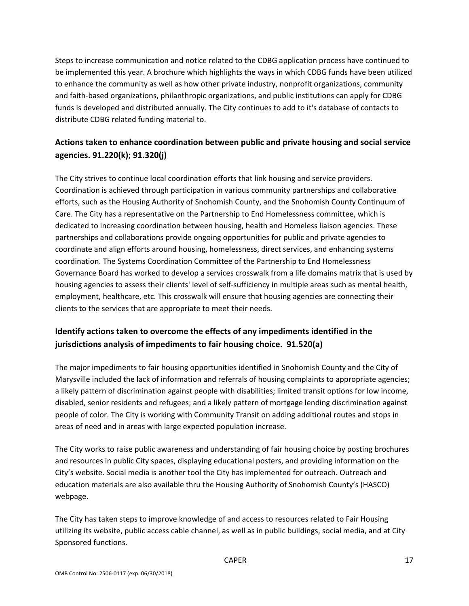Steps to increase communication and notice related to the CDBG application process have continued to be implemented this year. A brochure which highlights the ways in which CDBG funds have been utilized to enhance the community as well as how other private industry, nonprofit organizations, community and faith-based organizations, philanthropic organizations, and public institutions can apply for CDBG funds is developed and distributed annually. The City continues to add to it's database of contacts to distribute CDBG related funding material to.

## **Actions taken to enhance coordination between public and private housing and social service agencies. 91.220(k); 91.320(j)**

The City strives to continue local coordination efforts that link housing and service providers. Coordination is achieved through participation in various community partnerships and collaborative efforts, such as the Housing Authority of Snohomish County, and the Snohomish County Continuum of Care. The City has a representative on the Partnership to End Homelessness committee, which is dedicated to increasing coordination between housing, health and Homeless liaison agencies. These partnerships and collaborations provide ongoing opportunities for public and private agencies to coordinate and align efforts around housing, homelessness, direct services, and enhancing systems coordination. The Systems Coordination Committee of the Partnership to End Homelessness Governance Board has worked to develop a services crosswalk from a life domains matrix that is used by housing agencies to assess their clients' level of self-sufficiency in multiple areas such as mental health, employment, healthcare, etc. This crosswalk will ensure that housing agencies are connecting their clients to the services that are appropriate to meet their needs.

## **Identify actions taken to overcome the effects of any impediments identified in the jurisdictions analysis of impediments to fair housing choice. 91.520(a)**

The major impediments to fair housing opportunities identified in Snohomish County and the City of Marysville included the lack of information and referrals of housing complaints to appropriate agencies; a likely pattern of discrimination against people with disabilities; limited transit options for low income, disabled, senior residents and refugees; and a likely pattern of mortgage lending discrimination against people of color. The City is working with Community Transit on adding additional routes and stops in areas of need and in areas with large expected population increase.

The City works to raise public awareness and understanding of fair housing choice by posting brochures and resources in public City spaces, displaying educational posters, and providing information on the City's website. Social media is another tool the City has implemented for outreach. Outreach and education materials are also available thru the Housing Authority of Snohomish County's (HASCO) webpage.

The City has taken steps to improve knowledge of and access to resources related to Fair Housing utilizing its website, public access cable channel, as well as in public buildings, social media, and at City Sponsored functions.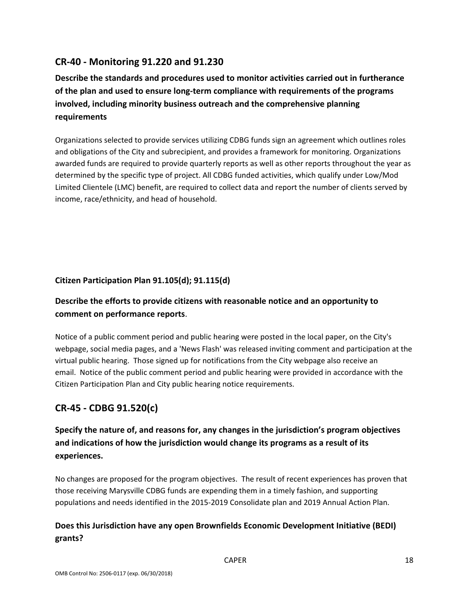## **CR-40 - Monitoring 91.220 and 91.230**

**Describe the standards and procedures used to monitor activities carried out in furtherance of the plan and used to ensure long-term compliance with requirements of the programs involved, including minority business outreach and the comprehensive planning requirements** 

Organizations selected to provide services utilizing CDBG funds sign an agreement which outlines roles and obligations of the City and subrecipient, and provides a framework for monitoring. Organizations awarded funds are required to provide quarterly reports as well as other reports throughout the year as determined by the specific type of project. All CDBG funded activities, which qualify under Low/Mod Limited Clientele (LMC) benefit, are required to collect data and report the number of clients served by income, race/ethnicity, and head of household.

#### **Citizen Participation Plan 91.105(d); 91.115(d)**

## **Describe the efforts to provide citizens with reasonable notice and an opportunity to comment on performance reports**.

Notice of a public comment period and public hearing were posted in the local paper, on the City's webpage, social media pages, and a 'News Flash' was released inviting comment and participation at the virtual public hearing. Those signed up for notifications from the City webpage also receive an email. Notice of the public comment period and public hearing were provided in accordance with the Citizen Participation Plan and City public hearing notice requirements.

## **CR-45 - CDBG 91.520(c)**

## **Specify the nature of, and reasons for, any changes in the jurisdiction's program objectives and indications of how the jurisdiction would change its programs as a result of its experiences.**

No changes are proposed for the program objectives. The result of recent experiences has proven that those receiving Marysville CDBG funds are expending them in a timely fashion, and supporting populations and needs identified in the 2015-2019 Consolidate plan and 2019 Annual Action Plan.

## **Does this Jurisdiction have any open Brownfields Economic Development Initiative (BEDI) grants?**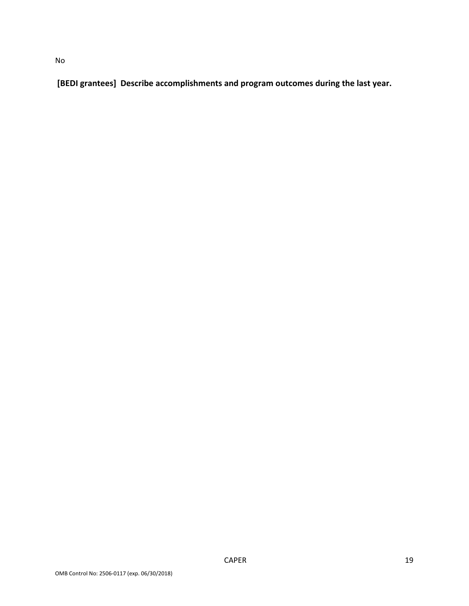**[BEDI grantees] Describe accomplishments and program outcomes during the last year.**